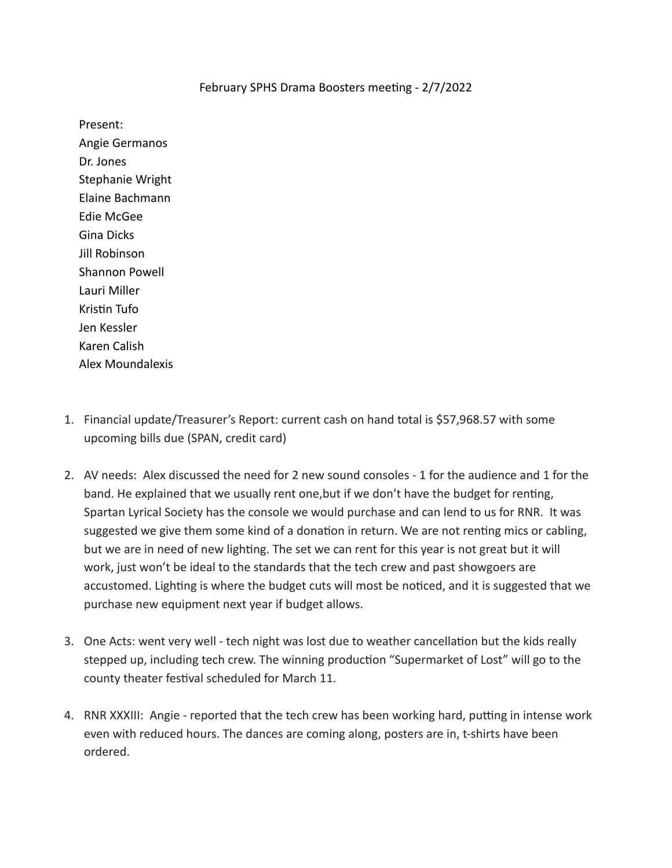## February SPHS Drama Boosters meeting - 2/7/2022

Present: Angie Germanos Dr. Jones Stephanie Wright Elaine Bachmann Edie McGee Gina Dicks Jill Robinson Shannon Powell Lauri Miller Kristin Tufo Jen Kessler Karen Calish Alex Moundalexis

- 1. Financial update/Treasurer's Report: current cash on hand total is \$57,968.57 with some upcoming bills due (SPAN, credit card)
- 2. AV needs: Alex discussed the need for 2 new sound consoles 1 for the audience and 1 for the band. He explained that we usually rent one, but if we don't have the budget for renting, Spartan Lyrical Society has the console we would purchase and can lend to us for RNR. It was suggested we give them some kind of a donation in return. We are not renting mics or cabling, but we are in need of new lighting. The set we can rent for this year is not great but it will work, just won't be ideal to the standards that the tech crew and past showgoers are accustomed. Lighting is where the budget cuts will most be noticed, and it is suggested that we purchase new equipment next year if budget allows.
- 3. One Acts: went very well tech night was lost due to weather cancellation but the kids really stepped up, including tech crew. The winning production "Supermarket of Lost" will go to the county theater festival scheduled for March 11.
- 4. RNR XXXIII: Angie reported that the tech crew has been working hard, putting in intense work even with reduced hours. The dances are coming along, posters are in, t-shirts have been ordered.